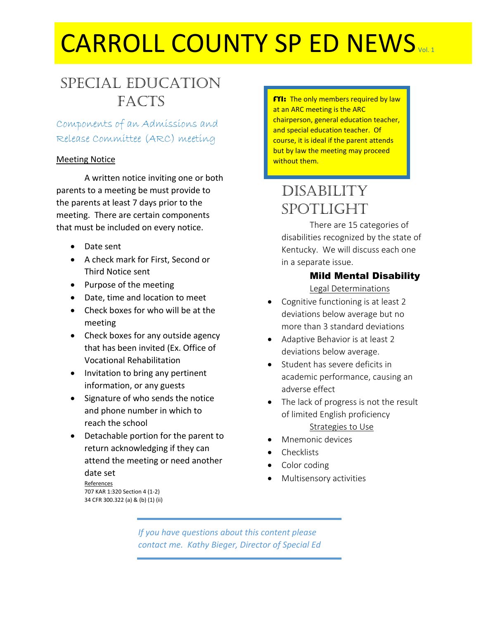# CARROLL COUNTY SP ED NEWS Vol. 1

### Special Education **FACTS**

Components of an Admissions and Release Committee (ARC) meeting

#### Meeting Notice

A written notice inviting one or both parents to a meeting be must provide to the parents at least 7 days prior to the meeting. There are certain components that must be included on every notice.

- Date sent
- A check mark for First, Second or Third Notice sent
- Purpose of the meeting
- Date, time and location to meet
- Check boxes for who will be at the meeting
- Check boxes for any outside agency that has been invited (Ex. Office of Vocational Rehabilitation
- Invitation to bring any pertinent information, or any guests
- Signature of who sends the notice and phone number in which to reach the school
- Detachable portion for the parent to return acknowledging if they can attend the meeting or need another date set

References 707 KAR 1:320 Section 4 (1-2) 34 CFR 300.322 (a) & (b) (1) (ii)

**FYI:** The only members required by law at an ARC meeting is the ARC chairperson, general education teacher, and special education teacher. Of course, it is ideal if the parent attends but by law the meeting may proceed without them.

## Disability **SPOTLIGHT**

There are 15 categories of disabilities recognized by the state of Kentucky. We will discuss each one in a separate issue.

### Mild Mental Disability

Legal Determinations

- Cognitive functioning is at least 2 deviations below average but no more than 3 standard deviations
- Adaptive Behavior is at least 2 deviations below average.
- Student has severe deficits in academic performance, causing an adverse effect
- The lack of progress is not the result of limited English proficiency Strategies to Use
- Mnemonic devices
- **Checklists**
- Color coding
- Multisensory activities

*If you have questions about this content please contact me. Kathy Bieger, Director of Special Ed*